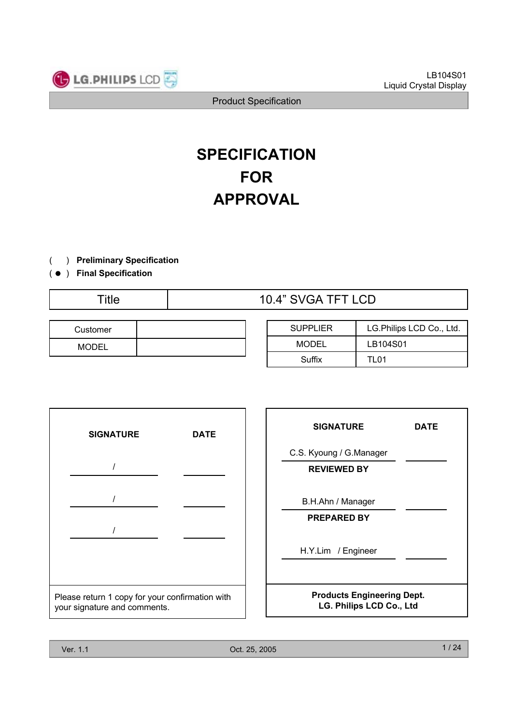

# **SPECIFICATION FOR APPROVAL**

) **Preliminary Specification**(

) ( ● **Final Specification**

|--|

| Customer |  |
|----------|--|
| MODEI    |  |

| <b>SUPPLIER</b> | LG.Philips LCD Co., Ltd. |
|-----------------|--------------------------|
| MODEL           | LB104S01                 |
| Suffix          | TI 01                    |



| <b>SIGNATURE</b>                                              | DATE |  |  |  |
|---------------------------------------------------------------|------|--|--|--|
| C.S. Kyoung / G.Manager                                       |      |  |  |  |
| <b>REVIEWED BY</b>                                            |      |  |  |  |
| B.H.Ahn / Manager                                             |      |  |  |  |
| <b>PREPARED BY</b>                                            |      |  |  |  |
| H.Y.Lim / Engineer                                            |      |  |  |  |
| <b>Products Engineering Dept.</b><br>LG. Philips LCD Co., Ltd |      |  |  |  |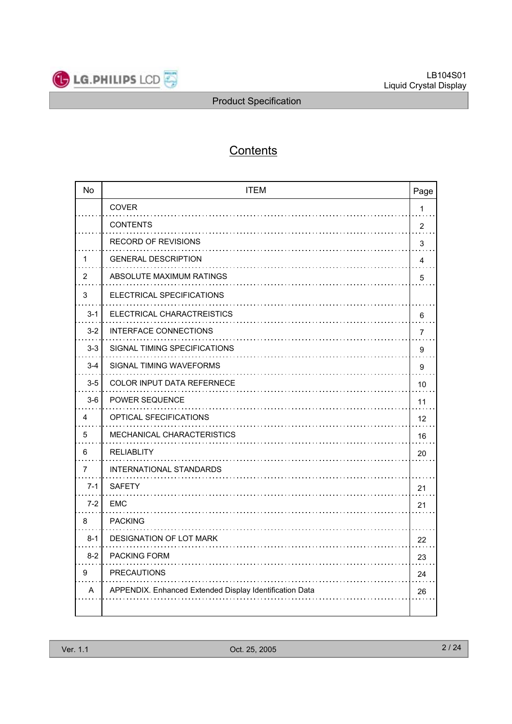

## **Contents**

| <b>No</b>      | <b>ITEM</b>                                             | Page           |
|----------------|---------------------------------------------------------|----------------|
|                | COVER                                                   | 1              |
|                | <b>CONTENTS</b>                                         | $\overline{2}$ |
|                | <b>RECORD OF REVISIONS</b>                              | 3              |
| 1              | <b>GENERAL DESCRIPTION</b>                              | 4              |
| $\overline{2}$ | ABSOLUTE MAXIMUM RATINGS                                | 5              |
| 3              | ELECTRICAL SPECIFICATIONS                               |                |
| $3 - 1$        | ELECTRICAL CHARACTREISTICS                              | 6              |
| $3 - 2$        | <b>INTERFACE CONNECTIONS</b>                            | $\overline{7}$ |
| $3 - 3$        | SIGNAL TIMING SPECIFICATIONS                            | 9              |
| $3 - 4$        | SIGNAL TIMING WAVEFORMS                                 | 9              |
| $3-5$          | <b>COLOR INPUT DATA REFERNECE</b>                       | 10             |
| $3-6$          | <b>POWER SEQUENCE</b>                                   | 11             |
| 4              | <b>OPTICAL SFECIFICATIONS</b>                           | 12             |
| 5              | <b>MECHANICAL CHARACTERISTICS</b>                       | 16             |
| 6              | <b>RELIABLITY</b>                                       | 20             |
| 7              | INTERNATIONAL STANDARDS                                 |                |
| $7 - 1$        | <b>SAFETY</b>                                           | 21             |
| $7-2$          | <b>EMC</b>                                              | 21             |
| 8              | <b>PACKING</b>                                          |                |
| $8 - 1$        | DESIGNATION OF LOT MARK                                 | 22             |
| $8 - 2$        | <b>PACKING FORM</b>                                     | 23             |
| 9              | <b>PRECAUTIONS</b>                                      | 24             |
| A              | APPENDIX. Enhanced Extended Display Identification Data | 26             |
|                |                                                         |                |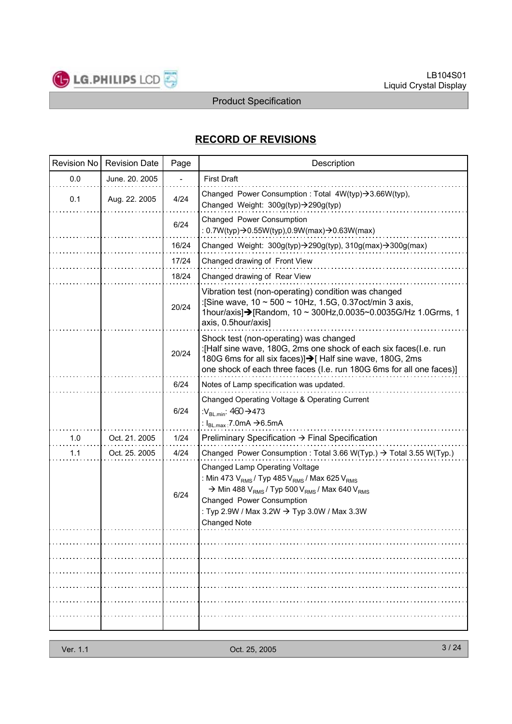

## **RECORD OF REVISIONS**

|     | Revision No   Revision Date | Page  | Description                                                                                                                                                                                                                                                                                      |
|-----|-----------------------------|-------|--------------------------------------------------------------------------------------------------------------------------------------------------------------------------------------------------------------------------------------------------------------------------------------------------|
| 0.0 | June. 20. 2005              |       | <b>First Draft</b>                                                                                                                                                                                                                                                                               |
| 0.1 | Aug. 22. 2005               | 4/24  | Changed Power Consumption : Total 4W(typ)->3.66W(typ),<br>Changed Weight: 300g(typ)->290g(typ)                                                                                                                                                                                                   |
|     |                             | 6/24  | Changed Power Consumption<br>: $0.7W(typ) \rightarrow 0.55W(typ)$ , 0.9W(max) $\rightarrow$ 0.63W(max)                                                                                                                                                                                           |
|     |                             | 16/24 | Changed Weight: 300g(typ)->290g(typ), 310g(max)->300g(max)                                                                                                                                                                                                                                       |
|     |                             | 17/24 | Changed drawing of Front View                                                                                                                                                                                                                                                                    |
|     |                             | 18/24 | Changed drawing of Rear View                                                                                                                                                                                                                                                                     |
|     |                             | 20/24 | Vibration test (non-operating) condition was changed<br>:[Sine wave, 10 ~ 500 ~ 10Hz, 1.5G, 0.37 oct/min 3 axis,<br>1hour/axis]→[Random, 10 ~ 300Hz, 0.0035~0.0035G/Hz 1.0Grms, 1<br>axis, 0.5hour/axis]                                                                                         |
|     |                             | 20/24 | Shock test (non-operating) was changed<br>:[Half sine wave, 180G, 2ms one shock of each six faces(I.e. run<br>180G 6ms for all six faces)]→[Half sine wave, 180G, 2ms<br>one shock of each three faces (I.e. run 180G 6ms for all one faces)]                                                    |
|     |                             | 6/24  | Notes of Lamp specification was updated.                                                                                                                                                                                                                                                         |
|     |                             | 6/24  | Changed Operating Voltage & Operating Current<br>: $V_{BL,min}$ : 460 $\rightarrow$ 473<br>: $I_{BL.max}$ 7.0mA $\rightarrow$ 6.5mA                                                                                                                                                              |
| 1.0 | Oct. 21. 2005               | 1/24  | Preliminary Specification $\rightarrow$ Final Specification                                                                                                                                                                                                                                      |
| 1.1 | Oct. 25. 2005               | 4/24  | Changed Power Consumption : Total 3.66 W(Typ.) $\rightarrow$ Total 3.55 W(Typ.)                                                                                                                                                                                                                  |
|     |                             | 6/24  | Changed Lamp Operating Voltage<br>: Min 473 $V_{RMS}$ / Typ 485 $V_{RMS}$ / Max 625 $V_{RMS}$<br>$\rightarrow$ Min 488 V <sub>RMS</sub> / Typ 500 V <sub>RMS</sub> / Max 640 V <sub>RMS</sub><br>Changed Power Consumption<br>: Typ 2.9W / Max 3.2W → Typ 3.0W / Max 3.3W<br><b>Changed Note</b> |
|     |                             |       |                                                                                                                                                                                                                                                                                                  |
|     |                             |       |                                                                                                                                                                                                                                                                                                  |
|     |                             |       |                                                                                                                                                                                                                                                                                                  |
|     |                             |       |                                                                                                                                                                                                                                                                                                  |
|     |                             |       |                                                                                                                                                                                                                                                                                                  |
|     |                             |       |                                                                                                                                                                                                                                                                                                  |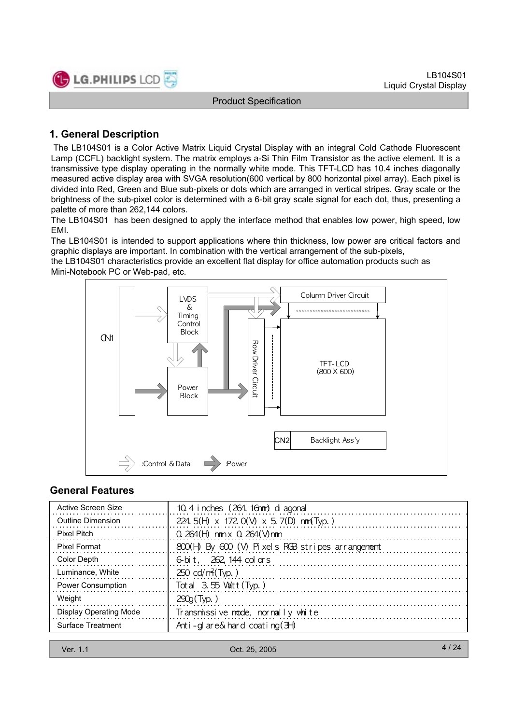

## **1. General Description**

LG.PHILIPS LCD

The LB104S01 is a Color Active Matrix Liquid Crystal Display with an integral Cold Cathode Fluorescent Lamp (CCFL) backlight system. The matrix employs a-Si Thin Film Transistor as the active element. It is a transmissive type display operating in the normally white mode. This TFT-LCD has 10.4 inches diagonally measured active display area with SVGA resolution(600 vertical by 800 horizontal pixel array). Each pixel is divided into Red, Green and Blue sub-pixels or dots which are arranged in vertical stripes. Gray scale or the brightness of the sub-pixel color is determined with a 6-bit gray scale signal for each dot, thus, presenting a palette of more than 262,144 colors.

The LB104S01 has been designed to apply the interface method that enables low power, high speed, low EMI.

The LB104S01 is intended to support applications where thin thickness, low power are critical factors and graphic displays are important. In combination with the vertical arrangement of the sub-pixels,

the LB104S01 characteristics provide an excellent flat display for office automation products such as Mini-Notebook PC or Web-pad, etc.



## **General Features**

| Active Screen Size            | 10.4 i nches (264. 16nm) di agonal               |
|-------------------------------|--------------------------------------------------|
| <b>Outline Dimension</b>      | 224. 5(H) x 172 0(V) x 5. 7(D) nm(Typ.)          |
| <b>Pixel Pitch</b>            | $0.264(H)$ nm x $0.264(V)$ nm                    |
| Pixel Format                  | 800(H) By 600 (V) Pixels RGB stripes arrangement |
| Color Depth                   | 6-bit, 262, 144 colors                           |
| Luminance, White              | $250 \text{ cd/m}^2$ (Typ.)                      |
| <b>Power Consumption</b>      | Total $3.55$ Valtt (Typ.)                        |
| Weight                        | $290q$ (Typ.)                                    |
| <b>Display Operating Mode</b> | Transmissive node, normally white                |
| Surface Treatment             | Anti-glare&hard coating $(3+)$                   |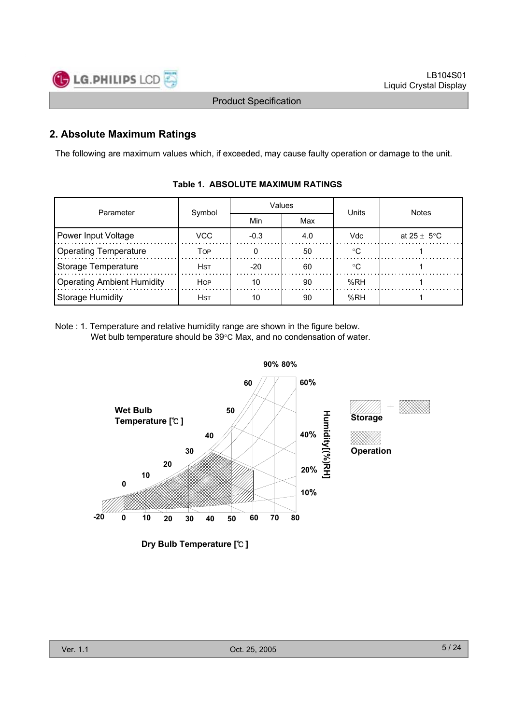

## **2. Absolute Maximum Ratings**

The following are maximum values which, if exceeded, may cause faulty operation or damage to the unit.

| Parameter                         | Symbol      |        | Values | Units        | <b>Notes</b>            |  |
|-----------------------------------|-------------|--------|--------|--------------|-------------------------|--|
|                                   |             | Min    | Max    |              |                         |  |
| Power Input Voltage               | VCC         | $-0.3$ | 4.0    | <b>Vdc</b>   | at $25 \pm 5^{\circ}$ C |  |
| <b>Operating Temperature</b>      | Тор         |        | 50     | $^{\circ}$ C |                         |  |
| Storage Temperature               | <b>HST</b>  | $-20$  | 60     | ം.           |                         |  |
| <b>Operating Ambient Humidity</b> | <b>HOP</b>  | 10     | 90     | %RH          |                         |  |
| <b>Storage Humidity</b>           | <b>H</b> st | 10     | 90     | %RH          |                         |  |

#### **Table 1. ABSOLUTE MAXIMUM RATINGS**

Note : 1. Temperature and relative humidity range are shown in the figure below. Wet bulb temperature should be  $39^{\circ}$ C Max, and no condensation of water.

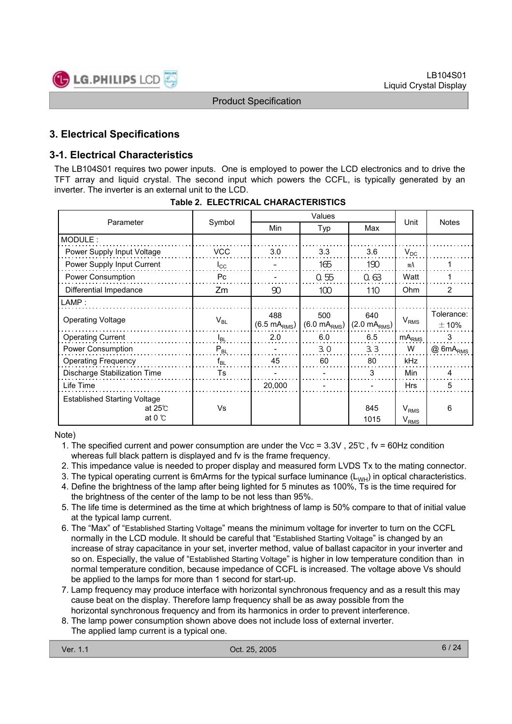

## **3. Electrical Specifications**

## **3-1. Electrical Characteristics**

The LB104S01 requires two power inputs. One is employed to power the LCD electronics and to drive the TFT array and liquid crystal. The second input which powers the CCFL, is typically generated by an inverter. The inverter is an external unit to the LCD.

|                                                                          |                 |                                 | Values                          |                                 |                        |                          |
|--------------------------------------------------------------------------|-----------------|---------------------------------|---------------------------------|---------------------------------|------------------------|--------------------------|
| Parameter                                                                | Symbol          | Min                             | Typ                             | Max                             | Unit                   | <b>Notes</b>             |
| MODULE:                                                                  |                 |                                 |                                 |                                 |                        |                          |
| Power Supply Input Voltage                                               | VCC             | 3.0                             | 3.3                             | 3.6                             | $V_{DC}$               |                          |
| Power Supply Input Current                                               | $I_{\rm CC}$    |                                 | 165                             | 190                             | mA                     |                          |
| Power Consumption                                                        | Pc              |                                 | 0.55                            | 0.63                            | Watt                   |                          |
| Differential Impedance                                                   | Zm              | 90                              | 100                             | 110                             | <b>Ohm</b>             | $\overline{2}$           |
| LAMP:                                                                    |                 |                                 |                                 |                                 |                        |                          |
| <b>Operating Voltage</b>                                                 | $V_{BL}$        | 488<br>$(6.5 \text{ mA}_{RMS})$ | 500<br>$(6.0 \text{ mA}_{RMS})$ | 640<br>$(2.0 \text{ mA}_{RMS})$ | $V_{RMS}$              | Tolerance:<br>$\pm 10\%$ |
| <b>Operating Current</b>                                                 | $I_{BL}$        | 2.0                             | 6.0                             | 6.5                             | mA <sub>RMS</sub>      | 3                        |
| Power Consumption                                                        | $P_{BL}$        |                                 | 3.0                             | 3.3                             | W                      | @6mA <sub>RMS</sub>      |
| <b>Operating Frequency</b>                                               | f <sub>BL</sub> | 45                              | 60                              | 80                              | <b>kHz</b>             |                          |
| Discharge Stabilization Time                                             | <b>Ts</b>       |                                 |                                 | 3                               | Min                    | Δ                        |
| Life Time                                                                |                 | 20,000                          |                                 |                                 | <b>Hrs</b>             | 5                        |
| <b>Established Starting Voltage</b><br>at $25^\circ$<br>at 0 $\degree$ C | Vs              |                                 |                                 | 845<br>1015                     | $V_{RMS}$<br>$V_{RMS}$ | 6                        |

**Table 2. ELECTRICAL CHARACTERISTICS**

#### Note)

- 1. The specified current and power consumption are under the Vcc = 3.3V , 25℃ , fv = 60Hz condition whereas full black pattern is displayed and fv is the frame frequency.
- 2. This impedance value is needed to proper display and measured form LVDS Tx to the mating connector.
- 3. The typical operating current is 6mArms for the typical surface luminance  $(L_{WH})$  in optical characteristics.
- 4. Define the brightness of the lamp after being lighted for 5 minutes as 100%, Ts is the time required for the brightness of the center of the lamp to be not less than 95%.
- 5. The life time is determined as the time at which brightness of lamp is 50% compare to that of initial value at the typical lamp current.
- 6. The "Max" of "Established Starting Voltage" means the minimum voltage for inverter to turn on the CCFL normally in the LCD module. It should be careful that "Established Starting Voltage" is changed by an increase of stray capacitance in your set, inverter method, value of ballast capacitor in your inverter and so on. Especially, the value of "Established Starting Voltage" is higher in low temperature condition than in normal temperature condition, because impedance of CCFL is increased. The voltage above Vs should be applied to the lamps for more than 1 second for start-up.
- 7. Lamp frequency may produce interface with horizontal synchronous frequency and as a result this may cause beat on the display. Therefore lamp frequency shall be as away possible from the horizontal synchronous frequency and from its harmonics in order to prevent interference.
- 8. The lamp power consumption shown above does not include loss of external inverter. The applied lamp current is a typical one.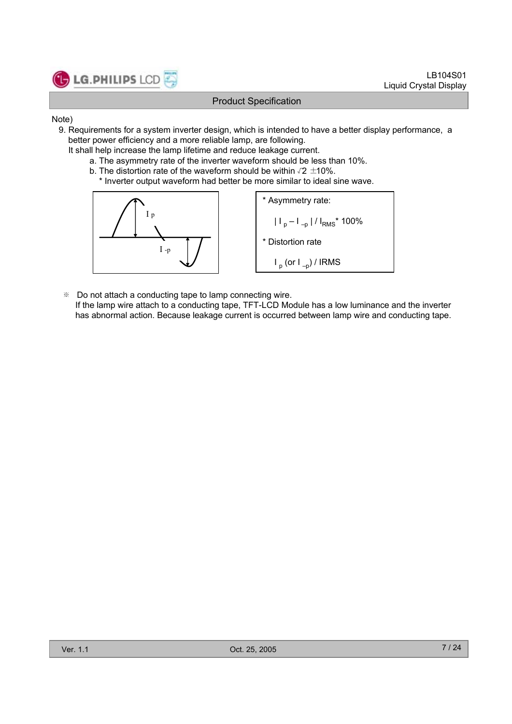

#### Note)

- 9. Requirements for a system inverter design, which is intended to have a better display performance, a better power efficiency and a more reliable lamp, are following.
	- It shall help increase the lamp lifetime and reduce leakage current.
		- a. The asymmetry rate of the inverter waveform should be less than 10%.
		- b. The distortion rate of the waveform should be within  $\sqrt{2} \pm 10\%$ .
			- \* Inverter output waveform had better be more similar to ideal sine wave.



※ Do not attach a conducting tape to lamp connecting wire.

If the lamp wire attach to a conducting tape, TFT-LCD Module has a low luminance and the inverter has abnormal action. Because leakage current is occurred between lamp wire and conducting tape.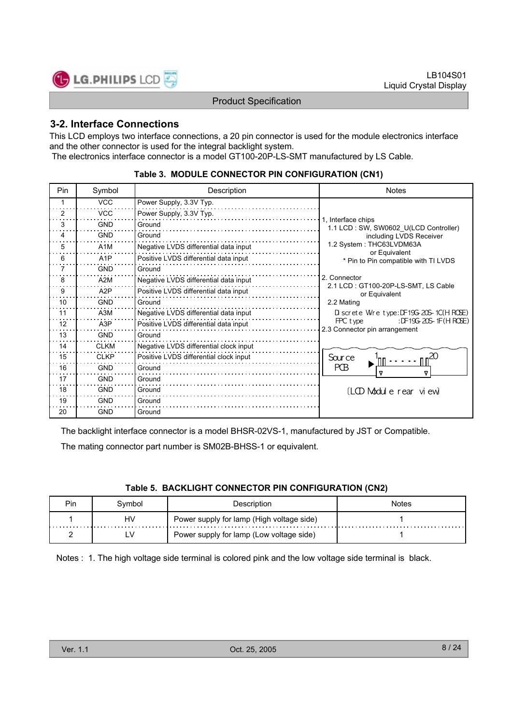

## **3-2. Interface Connections**

This LCD employs two interface connections, a 20 pin connector is used for the module electronics interface and the other connector is used for the integral backlight system.

The electronics interface connector is a model GT100-20P-LS-SMT manufactured by LS Cable.

#### **Table 3. MODULE CONNECTOR PIN CONFIGURATION (CN1)**

| <b>Pin</b> | Symbol           | Description                            | <b>Notes</b>                                                       |
|------------|------------------|----------------------------------------|--------------------------------------------------------------------|
| 1          | <b>VCC</b>       | Power Supply, 3.3V Typ.                |                                                                    |
| 2          | <b>VCC</b>       | Power Supply, 3.3V Typ.                |                                                                    |
| 3          | <b>GND</b>       | Ground                                 | 1. Interface chips<br>1.1 LCD: SW, SW0602 U(LCD Controller)        |
| 4          | <b>GND</b>       | Ground                                 | including LVDS Receiver                                            |
| 5          | A <sub>1</sub> M | Negative LVDS differential data input  | 1.2 System: THC63LVDM63A<br>or Equivalent                          |
| 6          | A <sub>1</sub> P | Positive LVDS differential data input  | * Pin to Pin compatible with TI LVDS                               |
| 7          | <b>GND</b>       | Ground                                 |                                                                    |
| 8          | A2M              | Negative LVDS differential data input  | 2. Connector<br>2.1 LCD: GT100-20P-LS-SMT, LS Cable                |
| 9          | A <sub>2</sub> P | Positive LVDS differential data input  | or Equivalent                                                      |
| 10         | <b>GND</b>       | Ground                                 | 2.2 Mating                                                         |
| 11         | A3M              | Negative LVDS differential data input  | $D$ screte Wire type: $DF19G-20S-1C(HROSE)$                        |
| 12         | A <sub>3</sub> P | Positive LVDS differential data input  | : DF19G-20S-1F(HROSE)<br>FPC type<br>2.3 Connector pin arrangement |
| 13         | <b>GND</b>       | Ground                                 |                                                                    |
| 14         | <b>CLKM</b>      | Negative LVDS differential clock input |                                                                    |
| 15         | <b>CLKP</b>      | Positive LVDS differential clock input | Sour ce                                                            |
| 16         | <b>GND</b>       | Ground                                 | PŒ<br>Δ                                                            |
| 17         | <b>GND</b>       | Ground                                 |                                                                    |
| 18         | <b>GND</b>       | Ground                                 | (LOD Module rear view)                                             |
| 19         | <b>GND</b>       | Ground                                 |                                                                    |
| 20         | <b>GND</b>       | Ground                                 |                                                                    |

The backlight interface connector is a model BHSR-02VS-1, manufactured by JST or Compatible.

The mating connector part number is SM02B-BHSS-1 or equivalent.

#### **Table 5. BACKLIGHT CONNECTOR PIN CONFIGURATION (CN2)**

| Pin | Symbol | Description                               | <b>Notes</b> |
|-----|--------|-------------------------------------------|--------------|
|     | HV     | Power supply for lamp (High voltage side) |              |
|     |        | Power supply for lamp (Low voltage side)  |              |

Notes : 1. The high voltage side terminal is colored pink and the low voltage side terminal is black.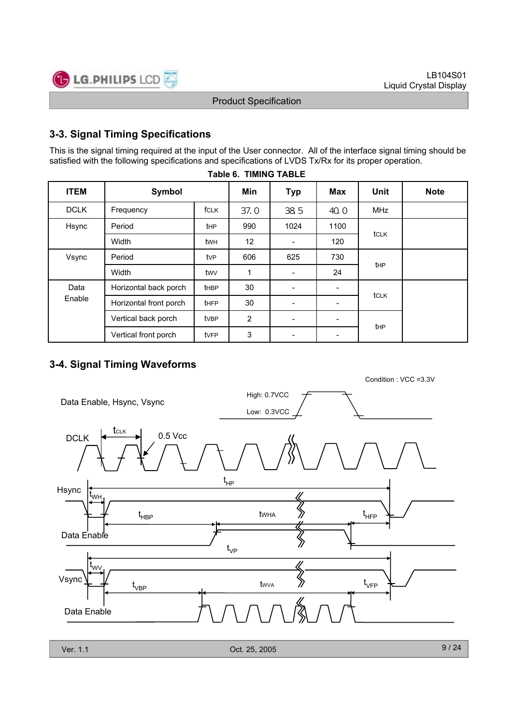

## **3-3. Signal Timing Specifications**

This is the signal timing required at the input of the User connector. All of the interface signal timing should be satisfied with the following specifications and specifications of LVDS Tx/Rx for its proper operation.

| 1996 V. TIMITO TADLE |                        |             |                |                          |            |             |             |  |
|----------------------|------------------------|-------------|----------------|--------------------------|------------|-------------|-------------|--|
| <b>ITEM</b>          | Symbol                 |             | Min            | <b>Typ</b>               | <b>Max</b> | <b>Unit</b> | <b>Note</b> |  |
| <b>DCLK</b>          | Frequency              | fCLK        | 37.0           | 385                      | 40.0       | <b>MHz</b>  |             |  |
| Hsync                | Period                 | <b>t</b> HP | 990            | 1024                     | 1100       | tclk        |             |  |
|                      | Width                  | twh         | 12             |                          | 120        |             |             |  |
| Vsync                | Period                 | tvP         | 606            | 625                      | 730        | <b>t</b> HP |             |  |
|                      | Width                  | twv         | $\mathbf{1}$   | $\overline{\phantom{a}}$ | 24         |             |             |  |
| Data                 | Horizontal back porch  | <b>tHBP</b> | 30             |                          | -          |             |             |  |
| Enable               | Horizontal front porch | <b>tHFP</b> | 30             |                          |            | tclk        |             |  |
|                      | Vertical back porch    | tvBP        | $\overline{2}$ |                          |            |             |             |  |
|                      | Vertical front porch   | tvFP        | 3              |                          | -          | thp         |             |  |

#### **Table 6. TIMING TABLE**

## **3-4. Signal Timing Waveforms**

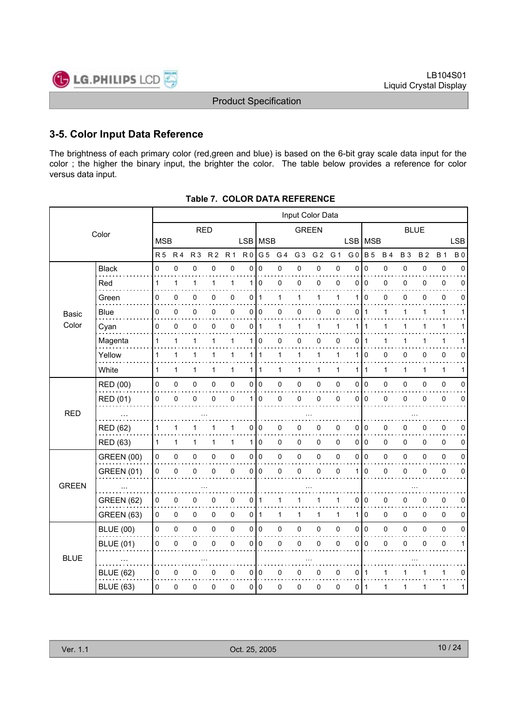## **3-5. Color Input Data Reference**

The brightness of each primary color (red,green and blue) is based on the 6-bit gray scale data input for the color ; the higher the binary input, the brighter the color. The table below provides a reference for color versus data input.

|              |                   |              |                |              |                |                |                |                |                | Input Color Data |                |              |                |                |              |           |              |              |             |
|--------------|-------------------|--------------|----------------|--------------|----------------|----------------|----------------|----------------|----------------|------------------|----------------|--------------|----------------|----------------|--------------|-----------|--------------|--------------|-------------|
|              | Color             |              |                | <b>RED</b>   |                |                |                |                |                | <b>GREEN</b>     |                |              |                |                |              |           | <b>BLUE</b>  |              |             |
|              |                   | <b>MSB</b>   |                |              |                |                | LSB   MSB      |                |                |                  |                |              | <b>LSB</b>     | <b>MSB</b>     |              |           |              |              | <b>LSB</b>  |
|              |                   | <b>R5</b>    | R <sub>4</sub> | <b>R3</b>    | R <sub>2</sub> | R <sub>1</sub> | R <sub>0</sub> | G <sub>5</sub> | G <sub>4</sub> | G <sub>3</sub>   | G <sub>2</sub> | G 1          | G <sub>0</sub> | <b>B</b> 5     | <b>B4</b>    | <b>B3</b> | <b>B2</b>    | <b>B</b> 1   | <b>B0</b>   |
|              | <b>Black</b>      | 0            | 0              | 0            | 0              | 0              | 0              | 0              | 0              | $\mathbf 0$      | 0              | 0            | 0              | $\mathbf 0$    | 0            | 0         | 0            | $\pmb{0}$    | $\Omega$    |
|              | Red               | 1            | 1              | 1            | 1              | $\mathbf{1}$   | 1              | $\mathbf 0$    | 0              | $\mathbf 0$      | 0              | 0            | 0              | $\mathbf 0$    | 0            | 0         | 0            | 0            | $\Omega$    |
|              | Green             | 0            | 0              | 0            | 0              | 0              | 011            |                | 1              | $\mathbf{1}$     | 1              | 1            | 1              | $\Omega$       | 0            | 0         | 0            | 0            | 0           |
| Basic        | Blue              | 0            | 0              | 0            | 0              | 0              | $\overline{0}$ | 0              | 0              | 0                | 0              | 0            | 0              | $\mathbf 1$    | 1            | 1         | 1            | 1            | 1           |
| Color        | Cyan              | 0            | 0              | 0            | $\mathbf{0}$   | $\mathbf 0$    | $\mathbf 0$    | 1              | 1              | $\mathbf{1}$     | $\mathbf{1}$   | 1            | 1              | 1              | $\mathbf{1}$ | 1         | 1            | $\mathbf{1}$ |             |
|              | Magenta           | 1            | 1              | 1            | 1              | 1              | 1              | 0              | 0              | 0                | 0              | 0            | 0              |                |              | 1         |              | 1            |             |
|              | Yellow            | 1            | 1              | 1            | 1              | $\mathbf{1}$   |                | 1   1          | 1              | 1                | $\mathbf{1}$   | 1            | 1              | 0              | 0            | 0         | 0            | 0            | 0           |
|              | White             | $\mathbf{1}$ | 1              | 1            | 1              | $\mathbf{1}$   | 1 I            | 1              | 1              | $\mathbf{1}$     | 1              | $\mathbf{1}$ | $\mathbf{1}$   | $\overline{1}$ | $\mathbf{1}$ | 1         | $\mathbf{1}$ | $\mathbf{1}$ | 1           |
|              | <b>RED (00)</b>   | 0            | $\pmb{0}$      | 0            | 0              | 0              | $\overline{0}$ | 0              | 0              | $\pmb{0}$        | $\pmb{0}$      | $\mathbf 0$  | 0              | l o            | 0            | 0         | 0            | $\pmb{0}$    | $\mathbf 0$ |
|              | <b>RED (01)</b>   | 0            | 0              | $\mathbf 0$  | $\mathbf{0}$   | $\mathbf 0$    | 1              | 0              | 0              | $\mathbf 0$      | $\pmb{0}$      | $\mathbf 0$  | $\Omega$       | $\mathbf 0$    | 0            | 0         | $\Omega$     | $\pmb{0}$    | $\mathbf 0$ |
| <b>RED</b>   |                   |              |                |              |                |                |                |                |                |                  |                |              |                |                |              |           |              |              |             |
|              | <b>RED (62)</b>   | 1            | 1              |              | 1              | 1              | $\mathbf 0$    | 0              | 0              | 0                | 0              | 0            | 0              | 0              | 0            | 0         | 0            | 0            | 0           |
|              | <b>RED (63)</b>   | 1            | 1              | $\mathbf{1}$ | 1              | $\mathbf{1}$   | 1 I            | $\overline{0}$ | $\Omega$       | $\mathbf 0$      | $\mathbf 0$    | $\Omega$     | $\Omega$       | l o            | 0            | 0         | $\Omega$     | $\mathbf 0$  | 0           |
|              | <b>GREEN (00)</b> | 0            | $\pmb{0}$      | $\pmb{0}$    | 0              | 0              | $\overline{0}$ | 0              | 0              | $\pmb{0}$        | $\pmb{0}$      | $\mathbf 0$  | 0              | l o            | 0            | 0         | 0            | $\pmb{0}$    | $\mathbf 0$ |
|              | <b>GREEN (01)</b> | 0            | 0              | 0            | $\mathbf{0}$   | 0              | 0              | $\mathbf{0}$   | 0              | $\mathbf 0$      | $\mathbf 0$    | $\mathbf 0$  | 1              | $\Omega$       | 0            | 0         | $\Omega$     | $\mathbf 0$  | $\Omega$    |
| <b>GREEN</b> |                   |              |                |              |                |                |                |                |                |                  |                |              |                |                |              |           |              |              |             |
|              | <b>GREEN (62)</b> | 0            | 0              | 0            | 0              | 0              | $\overline{0}$ | 1              | 1              | 1                | 1              | 1            | $\mathbf{0}$   | $\mathbf 0$    | 0            | 0         | 0            | 0            | $\Omega$    |
|              | <b>GREEN (63)</b> | 0            | $\mathbf 0$    | 0            | 0              | 0              | 0 I            | $\mathbf{1}$   | 1              | 1                | $\mathbf{1}$   | $\mathbf{1}$ | 1              | $\overline{0}$ | 0            | 0         | 0            | $\mathbf 0$  | 0           |
|              | <b>BLUE (00)</b>  | 0            | $\pmb{0}$      | $\pmb{0}$    | 0              | $\mathsf 0$    |                | 0 0            | 0              | $\pmb{0}$        | $\pmb{0}$      | 0            | 0              | l o            | 0            | 0         | 0            | $\pmb{0}$    | $\mathbf 0$ |
|              | <b>BLUE (01)</b>  | 0            | 0              | $\Omega$     | 0              | 0              | $\overline{0}$ | $\mathbf{0}$   | 0              | $\mathbf 0$      | $\pmb{0}$      | 0            | $\Omega$       | $\Omega$       | 0            | 0         | $\Omega$     | $\mathbf 0$  | 1           |
| <b>BLUE</b>  |                   |              |                |              |                |                |                |                |                |                  |                |              |                |                |              |           |              |              |             |
|              | <b>BLUE (62)</b>  | 0            | 0              | $\Omega$     | 0              | 0              | 0              | 0              | 0              | $\mathbf 0$      | 0              | 0            | $\Omega$       | 1              | 1            |           |              | 1            | 0           |
|              | <b>BLUE (63)</b>  | 0            | 0              | 0            | $\mathbf 0$    | 0              |                | 010            | 0              | $\mathbf 0$      | $\pmb{0}$      | $\mathbf 0$  | 0              | $\vert$ 1      | 1            | 1         | 1            | 1            | 1           |
|              |                   |              |                |              |                |                |                |                |                |                  |                |              |                |                |              |           |              |              |             |

#### **Table 7. COLOR DATA REFERENCE**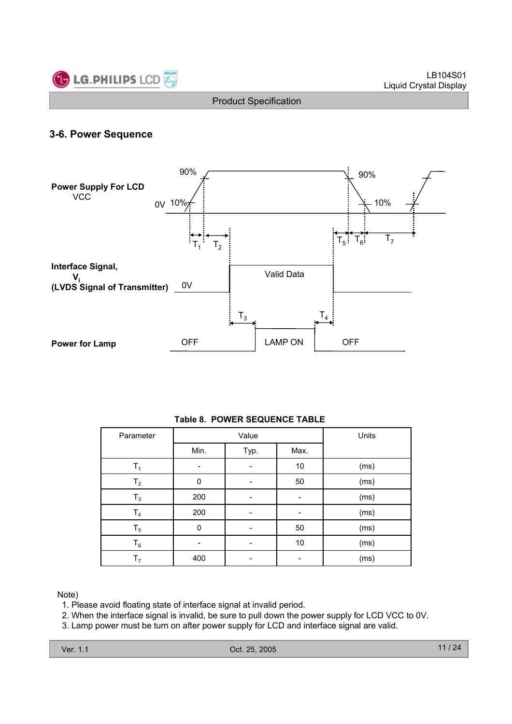

## **3-6. Power Sequence**



| Parameter      |             | Value | Units |      |
|----------------|-------------|-------|-------|------|
|                | Min.        | Typ.  | Max.  |      |
| $T_1$          | -           |       | $10$  | (ms) |
| T <sub>2</sub> | 0           |       | 50    | (ms) |
| $T_3$          | 200         |       |       | (ms) |
| T <sub>4</sub> | 200         |       |       | (ms) |
| $T_5$          | $\mathbf 0$ |       | 50    | (ms) |
| $T_6$          |             |       | 10    | (ms) |
| т,             | 400         |       |       | (ms) |

#### **Table 8. POWER SEQUENCE TABLE**

#### Note)

- 1. Please avoid floating state of interface signal at invalid period.
- 2. When the interface signal is invalid, be sure to pull down the power supply for LCD VCC to 0V.
- 3. Lamp power must be turn on after power supply for LCD and interface signal are valid.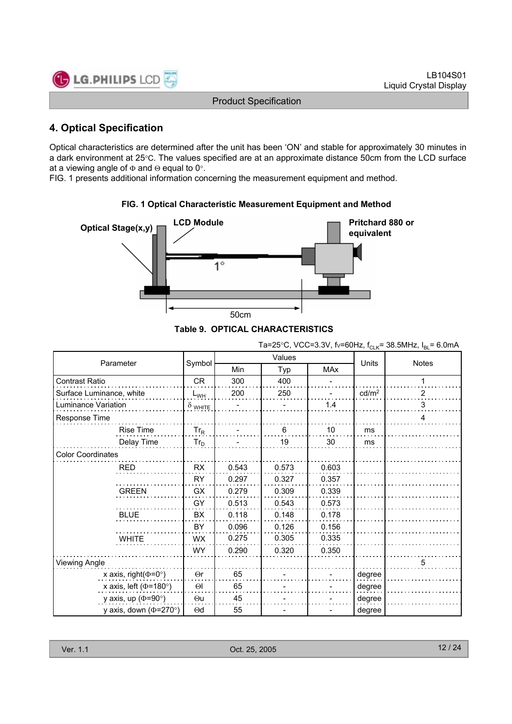

## **4. Optical Specification**

Optical characteristics are determined after the unit has been 'ON' and stable for approximately 30 minutes in a dark environment at 25°C. The values specified are at an approximate distance 50cm from the LCD surface at a viewing angle of  $\Phi$  and  $\Theta$  equal to 0°.

FIG. 1 presents additional information concerning the measurement equipment and method.



**FIG. 1 Optical Characteristic Measurement Equipment and Method**

#### **Table 9. OPTICAL CHARACTERISTICS**

| Ta=25°C, VCC=3.3V, fv=60Hz, f <sub>CLK</sub> = 38.5MHz, $I_{BL}$ = 6.0mA |
|--------------------------------------------------------------------------|
|                                                                          |

|                              |                |            | Values |       | Units             |                |
|------------------------------|----------------|------------|--------|-------|-------------------|----------------|
| Parameter                    | Symbol         | <b>Min</b> | Typ    | MAx   |                   | <b>Notes</b>   |
| <b>Contrast Ratio</b>        | CR             | 300        | 400    |       |                   | 1              |
| Surface Luminance, white     | $L_{WH}$       | 200        | 250    |       | cd/m <sup>2</sup> | $\overline{2}$ |
| Luminance Variation          | $\delta$ white |            |        | 1.4   |                   | 3              |
| Response Time                |                |            |        |       |                   | 4              |
| <b>Rise Time</b>             | $Tr_R$         |            | 6      | 10    | ms                |                |
| Delay Time                   | $Tr_D$         |            | 19     | 30    | ms                |                |
| <b>Color Coordinates</b>     |                |            |        |       |                   |                |
| RED                          | <b>RX</b>      | 0.543      | 0.573  | 0.603 |                   |                |
|                              | <b>RY</b>      | 0.297      | 0.327  | 0.357 |                   |                |
| <b>GREEN</b>                 | <b>GX</b>      | 0.279      | 0.309  | 0.339 |                   |                |
|                              | GY             | 0.513      | 0.543  | 0.573 |                   |                |
| <b>BLUE</b>                  | <b>BX</b>      | 0.118      | 0.148  | 0.178 |                   |                |
|                              | BY             | 0.096      | 0.126  | 0.156 |                   |                |
| <b>WHITE</b>                 | <b>WX</b>      | 0.275      | 0.305  | 0.335 |                   |                |
|                              | WY.            | 0.290      | 0.320  | 0.350 |                   |                |
| <b>Viewing Angle</b>         |                |            |        |       |                   | 5              |
| x axis, right( $\Phi$ =0°)   | $\Theta$ r     | 65         |        |       | degree            |                |
| x axis, left ( $\Phi$ =180°) | $\Theta$       | 65         |        |       | degree            |                |
| y axis, up ( $\Phi$ =90°)    | $\Theta$ u     | 45         |        |       | degree            |                |
| y axis, down ( $\Phi$ =270°) | $\Theta$ d     | 55         |        |       | degree            |                |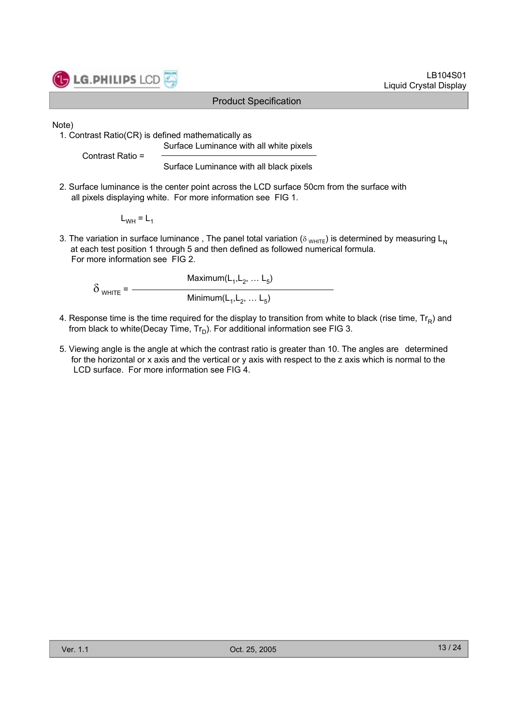

Note)

1. Contrast Ratio(CR) is defined mathematically as

Surface Luminance with all white pixels

Contrast Ratio =

Surface Luminance with all black pixels

2. Surface luminance is the center point across the LCD surface 50cm from the surface with all pixels displaying white. For more information see FIG 1.

 $L_{WH} = L_1$ 

3. The variation in surface luminance, The panel total variation ( $\delta_{WHITE}$ ) is determined by measuring L<sub>N</sub> at each test position 1 through 5 and then defined as followed numerical formula. For more information see FIG 2.

Maximum $(L_1,L_2, \ldots L_5)$  $\delta$  white =  $-$ Minimum $(L_1,L_2, \ldots L_5)$ 

- 4. Response time is the time required for the display to transition from white to black (rise time,  $Tr_R$ ) and from black to white(Decay Time,  $Tr_D$ ). For additional information see FIG 3.
- 5. Viewing angle is the angle at which the contrast ratio is greater than 10. The angles are determined for the horizontal or x axis and the vertical or y axis with respect to the z axis which is normal to the LCD surface. For more information see FIG 4.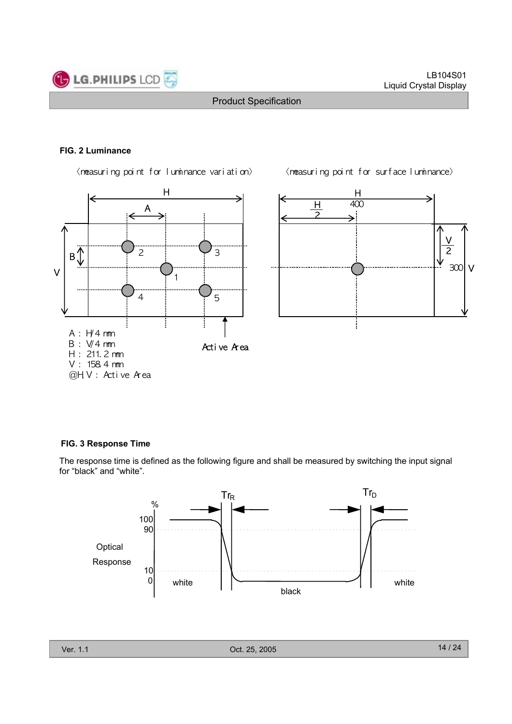

#### **FIG. 2 Luminance**

 $\langle$ n $\text{e}$ asuring point for luminance variation $\rangle$   $\langle$ n $\text{e}$ asuring point for surface luminance $\rangle$ 





#### **FIG. 3 Response Time**

The response time is defined as the following figure and shall be measured by switching the input signal for "black" and "white".

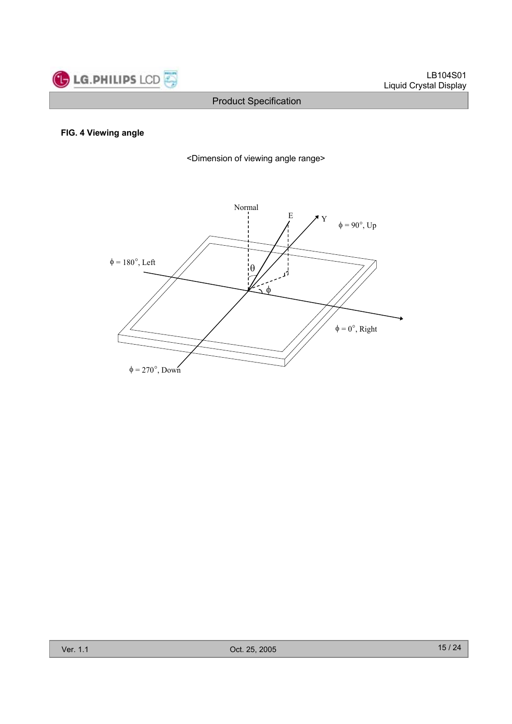

#### **FIG. 4 Viewing angle**

<Dimension of viewing angle range>

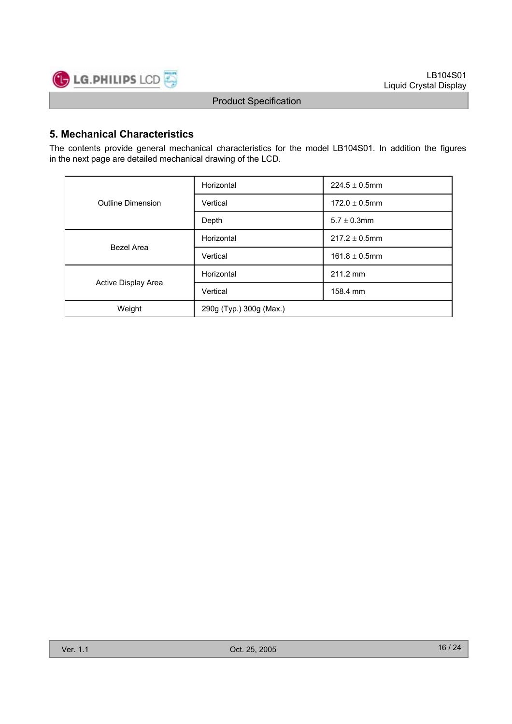

## **5. Mechanical Characteristics**

The contents provide general mechanical characteristics for the model LB104S01. In addition the figures in the next page are detailed mechanical drawing of the LCD.

|                          | Horizontal              | $224.5 \pm 0.5$ mm |  |  |  |
|--------------------------|-------------------------|--------------------|--|--|--|
| <b>Outline Dimension</b> | Vertical                | $172.0 \pm 0.5$ mm |  |  |  |
|                          | Depth                   | $5.7 \pm 0.3$ mm   |  |  |  |
| Bezel Area               | Horizontal              | $217.2 \pm 0.5$ mm |  |  |  |
|                          | Vertical                | $161.8 \pm 0.5$ mm |  |  |  |
|                          | Horizontal              | 211.2 mm           |  |  |  |
| Active Display Area      | Vertical                | 158.4 mm           |  |  |  |
| Weight                   | 290g (Typ.) 300g (Max.) |                    |  |  |  |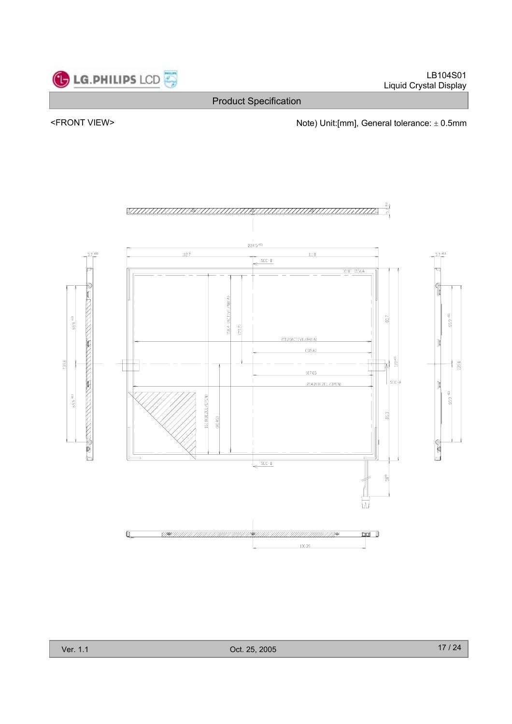

### <FRONT VIEW> <parallel to the Note) Unit:[mm], General tolerance:  $\pm$  0.5mm

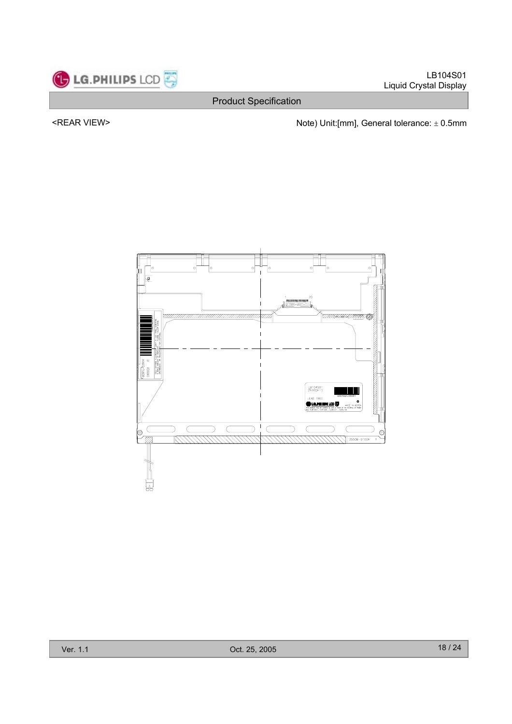

<REAR VIEW> <ndote) Unit:[mm], General tolerance:  $\pm$  0.5mm

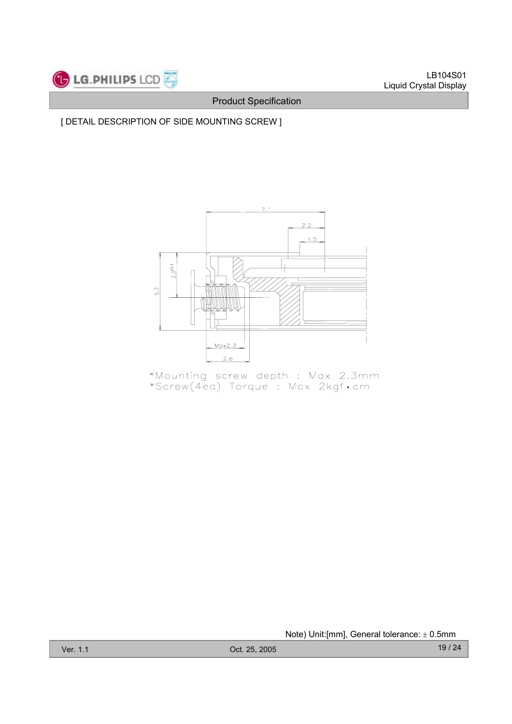## [ DETAIL DESCRIPTION OF SIDE MOUNTING SCREW ]



\*Mounting screw depth : Max 2.3mm<br>\*Screw(4ea) Torque : Max 2kgf•cm

Note) Unit: [mm], General tolerance:  $\pm$  0.5mm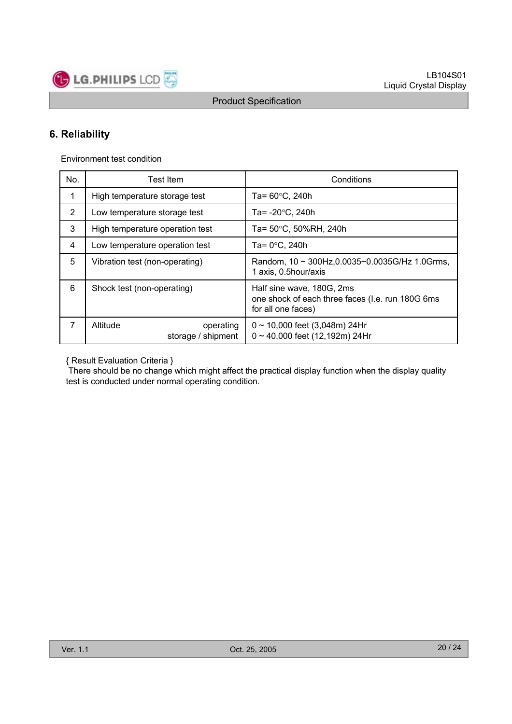

## **6. Reliability**

Environment test condition

**LG.PHILIPS LCD** 

| No. | Test Item                                   | Conditions                                                                                           |  |  |  |
|-----|---------------------------------------------|------------------------------------------------------------------------------------------------------|--|--|--|
| 1   | High temperature storage test               | Ta= $60^{\circ}$ C, 240h                                                                             |  |  |  |
| 2   | Low temperature storage test                | Ta= -20°C, 240h                                                                                      |  |  |  |
| 3   | High temperature operation test             | Ta= 50°C, 50%RH, 240h                                                                                |  |  |  |
| 4   | Low temperature operation test              | Ta= 0°C, 240h                                                                                        |  |  |  |
| 5   | Vibration test (non-operating)              | Random, $10 \sim 300$ Hz, 0.0035 $\sim$ 0.0035G/Hz 1.0Grms,<br>1 axis, 0.5hour/axis                  |  |  |  |
| 6   | Shock test (non-operating)                  | Half sine wave, 180G, 2ms<br>one shock of each three faces (I.e. run 180G 6ms)<br>for all one faces) |  |  |  |
| 7   | Altitude<br>operating<br>storage / shipment | $0 \sim 10,000$ feet (3,048m) 24Hr<br>$0 \sim 40,000$ feet (12,192m) 24Hr                            |  |  |  |

{ Result Evaluation Criteria }

There should be no change which might affect the practical display function when the display quality test is conducted under normal operating condition.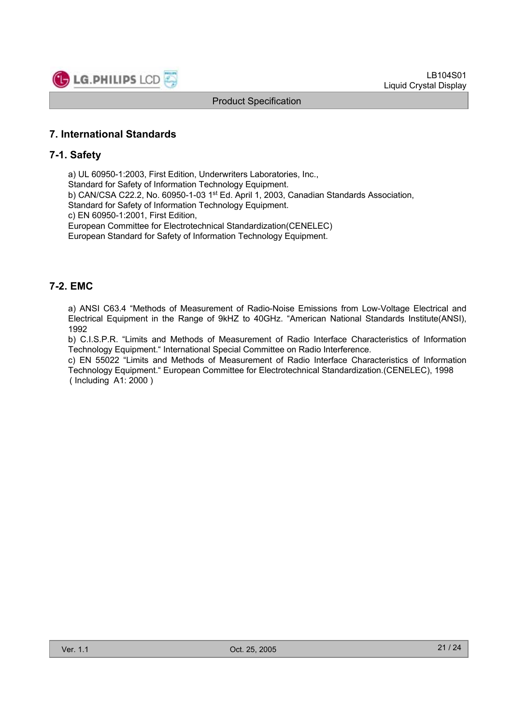

## **7. International Standards**

## **7-1. Safety**

a) UL 60950-1:2003, First Edition, Underwriters Laboratories, Inc.,

Standard for Safety of Information Technology Equipment.

b) CAN/CSA C22.2, No. 60950-1-03 1<sup>st</sup> Ed. April 1, 2003, Canadian Standards Association,

Standard for Safety of Information Technology Equipment.

c) EN 60950-1:2001, First Edition,

European Committee for Electrotechnical Standardization(CENELEC)

European Standard for Safety of Information Technology Equipment.

## **7-2. EMC**

a) ANSI C63.4 "Methods of Measurement of Radio-Noise Emissions from Low-Voltage Electrical and Electrical Equipment in the Range of 9kHZ to 40GHz. "American National Standards Institute(ANSI), 1992

b) C.I.S.P.R. "Limits and Methods of Measurement of Radio Interface Characteristics of Information Technology Equipment." International Special Committee on Radio Interference.

c) EN 55022 "Limits and Methods of Measurement of Radio Interface Characteristics of Information Technology Equipment." European Committee for Electrotechnical Standardization.(CENELEC), 1998 ( Including A1: 2000 )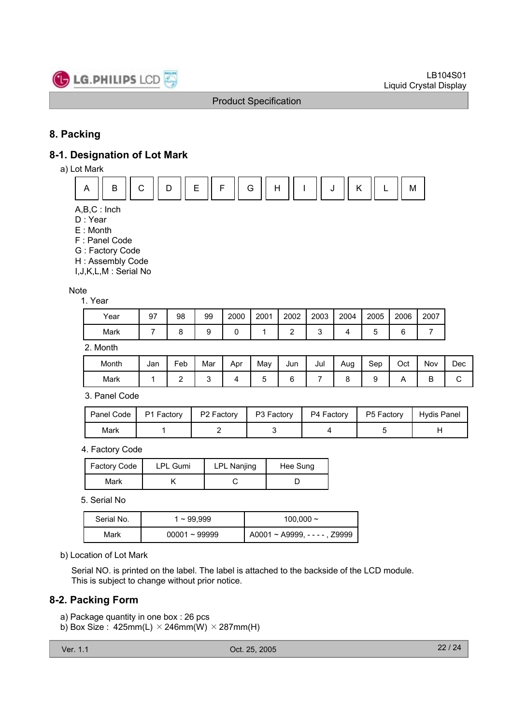

## **8. Packing**

## **8-1. Designation of Lot Mark**

a) Lot Mark



- A,B,C : Inch
- D : Year
- E : Month
- F : Panel Code
- G : Factory Code
- H : Assembly Code

I,J,K,L,M : Serial No

#### Note

1. Year

| Year | 97 | 98 | 99 | 2000 | 2001 | 2002 | 2003 | 2004 | 2005 | 2006 | 2007 |
|------|----|----|----|------|------|------|------|------|------|------|------|
| Mark |    |    |    |      |      | -    |      |      |      |      |      |

2. Month

| Month | Jan | Feb | Mar | Apr | May | Jun | Jul | Aug | Sep | Oct | Nov | Dec |
|-------|-----|-----|-----|-----|-----|-----|-----|-----|-----|-----|-----|-----|
| Mark  |     | -   |     |     |     |     |     |     |     |     | ◡   | ∼   |

3. Panel Code

| Panel Code | P1 Factory | P <sub>2</sub> Factory | P3 Factory | . P4 Factory | P5 Factory | Hydis Panel |
|------------|------------|------------------------|------------|--------------|------------|-------------|
| Mark       |            |                        |            |              |            |             |

4. Factory Code

| Factory Code | <b>LPL Gumi</b> | LPL Nanjing | Hee Sung |
|--------------|-----------------|-------------|----------|
| Mark         |                 |             |          |

5. Serial No

| Serial No. | $1 \sim 99.999$ | 100,000 $\sim$                       |  |  |  |  |
|------------|-----------------|--------------------------------------|--|--|--|--|
| Mark       | $00001 - 99999$ | $A0001 \sim A9999$ , - - - - , Z9999 |  |  |  |  |

b) Location of Lot Mark

Serial NO. is printed on the label. The label is attached to the backside of the LCD module. This is subject to change without prior notice.

## **8-2. Packing Form**

a) Package quantity in one box : 26 pcs

b) Box Size :  $425mm(L) \times 246mm(W) \times 287mm(H)$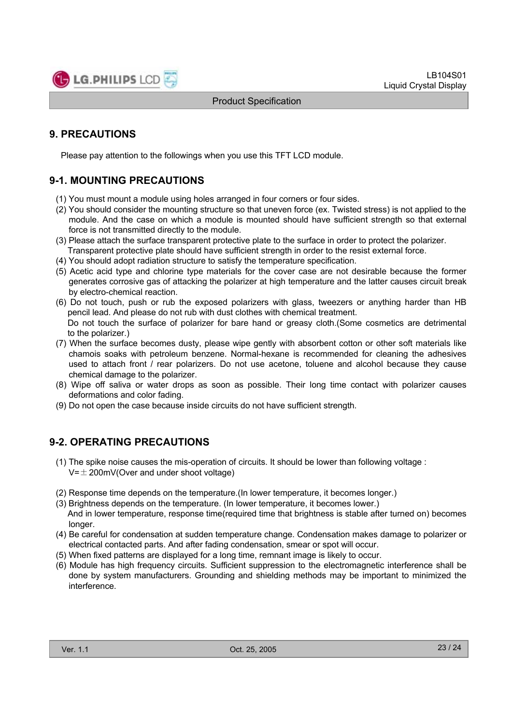

## **9. PRECAUTIONS**

Please pay attention to the followings when you use this TFT LCD module.

## **9-1. MOUNTING PRECAUTIONS**

- (1) You must mount a module using holes arranged in four corners or four sides.
- (2) You should consider the mounting structure so that uneven force (ex. Twisted stress) is not applied to the module. And the case on which a module is mounted should have sufficient strength so that external force is not transmitted directly to the module.
- (3) Please attach the surface transparent protective plate to the surface in order to protect the polarizer. Transparent protective plate should have sufficient strength in order to the resist external force.
- (4) You should adopt radiation structure to satisfy the temperature specification.
- (5) Acetic acid type and chlorine type materials for the cover case are not desirable because the former generates corrosive gas of attacking the polarizer at high temperature and the latter causes circuit break by electro-chemical reaction.
- (6) Do not touch, push or rub the exposed polarizers with glass, tweezers or anything harder than HB pencil lead. And please do not rub with dust clothes with chemical treatment. Do not touch the surface of polarizer for bare hand or greasy cloth.(Some cosmetics are detrimental
- to the polarizer.) (7) When the surface becomes dusty, please wipe gently with absorbent cotton or other soft materials like chamois soaks with petroleum benzene. Normal-hexane is recommended for cleaning the adhesives
- used to attach front / rear polarizers. Do not use acetone, toluene and alcohol because they cause chemical damage to the polarizer.
- (8) Wipe off saliva or water drops as soon as possible. Their long time contact with polarizer causes deformations and color fading.
- (9) Do not open the case because inside circuits do not have sufficient strength.

## **9-2. OPERATING PRECAUTIONS**

- (1) The spike noise causes the mis-operation of circuits. It should be lower than following voltage :  $V=\pm 200$ mV(Over and under shoot voltage)
- (2) Response time depends on the temperature.(In lower temperature, it becomes longer.)
- (3) Brightness depends on the temperature. (In lower temperature, it becomes lower.) And in lower temperature, response time(required time that brightness is stable after turned on) becomes longer.
- (4) Be careful for condensation at sudden temperature change. Condensation makes damage to polarizer or electrical contacted parts. And after fading condensation, smear or spot will occur.
- (5) When fixed patterns are displayed for a long time, remnant image is likely to occur.
- (6) Module has high frequency circuits. Sufficient suppression to the electromagnetic interference shall be done by system manufacturers. Grounding and shielding methods may be important to minimized the interference.